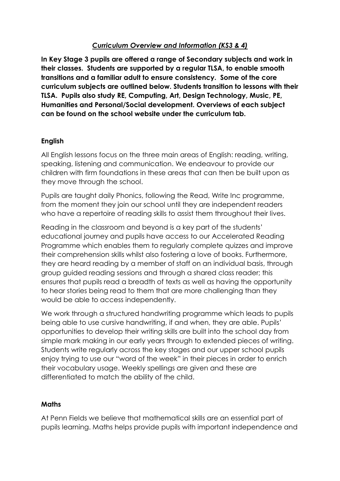# *Curriculum Overview and Information (KS3 & 4)*

**In Key Stage 3 pupils are offered a range of Secondary subjects and work in their classes. Students are supported by a regular TLSA, to enable smooth transitions and a familiar adult to ensure consistency. Some of the core curriculum subjects are outlined below. Students transition to lessons with their TLSA. Pupils also study RE, Computing, Art, Design Technology, Music, PE, Humanities and Personal/Social development. Overviews of each subject can be found on the school website under the curriculum tab.** 

## **English**

All English lessons focus on the three main areas of English: reading, writing, speaking, listening and communication. We endeavour to provide our children with firm foundations in these areas that can then be built upon as they move through the school.

Pupils are taught daily Phonics, following the Read, Write Inc programme, from the moment they join our school until they are independent readers who have a repertoire of reading skills to assist them throughout their lives.

Reading in the classroom and beyond is a key part of the students' educational journey and pupils have access to our Accelerated Reading Programme which enables them to regularly complete quizzes and improve their comprehension skills whilst also fostering a love of books. Furthermore, they are heard reading by a member of staff on an individual basis, through group guided reading sessions and through a shared class reader; this ensures that pupils read a breadth of texts as well as having the opportunity to hear stories being read to them that are more challenging than they would be able to access independently.

We work through a structured handwriting programme which leads to pupils being able to use cursive handwriting, if and when, they are able. Pupils' opportunities to develop their writing skills are built into the school day from simple mark making in our early years through to extended pieces of writing. Students write regularly across the key stages and our upper school pupils enjoy trying to use our "word of the week" in their pieces in order to enrich their vocabulary usage. Weekly spellings are given and these are differentiated to match the ability of the child.

# **Maths**

At Penn Fields we believe that mathematical skills are an essential part of pupils learning. Maths helps provide pupils with important independence and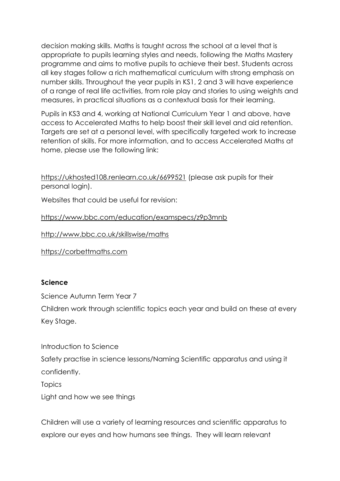decision making skills. Maths is taught across the school at a level that is appropriate to pupils learning styles and needs, following the Maths Mastery programme and aims to motive pupils to achieve their best. Students across all key stages follow a rich mathematical curriculum with strong emphasis on number skills. Throughout the year pupils in KS1, 2 and 3 will have experience of a range of real life activities, from role play and stories to using weights and measures, in practical situations as a contextual basis for their learning.

Pupils in KS3 and 4, working at National Curriculum Year 1 and above, have access to Accelerated Maths to help boost their skill level and aid retention. Targets are set at a personal level, with specifically targeted work to increase retention of skills. For more information, and to access Accelerated Maths at home, please use the following link:

<https://ukhosted108.renlearn.co.uk/6699521> (please ask pupils for their personal login).

Websites that could be useful for revision:

<https://www.bbc.com/education/examspecs/z9p3mnb>

<http://www.bbc.co.uk/skillswise/maths>

[https://corbettmaths.com](https://corbettmaths.com/)

# **Science**

Science Autumn Term Year 7

Children work through scientific topics each year and build on these at every Key Stage.

Introduction to Science Safety practise in science lessons/Naming Scientific apparatus and using it confidently. **Topics** Light and how we see things

Children will use a variety of learning resources and scientific apparatus to explore our eyes and how humans see things. They will learn relevant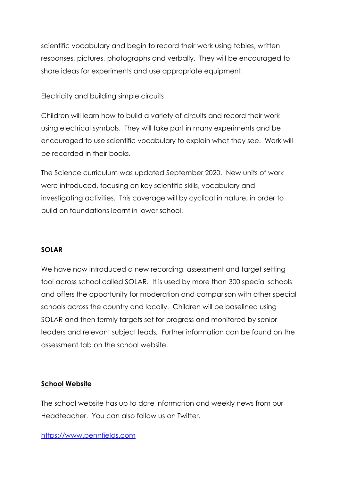scientific vocabulary and begin to record their work using tables, written responses, pictures, photographs and verbally. They will be encouraged to share ideas for experiments and use appropriate equipment.

## Electricity and building simple circuits

Children will learn how to build a variety of circuits and record their work using electrical symbols. They will take part in many experiments and be encouraged to use scientific vocabulary to explain what they see. Work will be recorded in their books.

The Science curriculum was updated September 2020. New units of work were introduced, focusing on key scientific skills, vocabulary and investigating activities. This coverage will by cyclical in nature, in order to build on foundations learnt in lower school.

#### **SOLAR**

We have now introduced a new recording, assessment and target setting tool across school called SOLAR. It is used by more than 300 special schools and offers the opportunity for moderation and comparison with other special schools across the country and locally. Children will be baselined using SOLAR and then termly targets set for progress and monitored by senior leaders and relevant subject leads, Further information can be found on the assessment tab on the school website.

#### **School Website**

The school website has up to date information and weekly news from our Headteacher. You can also follow us on Twitter.

#### [https://www.pennfields.com](https://www.pennfields.com/)